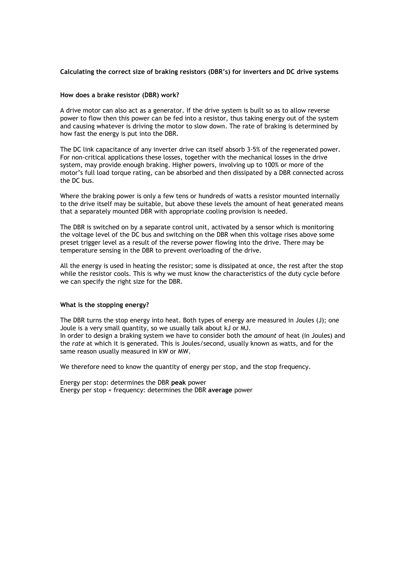# **Calculating the correct size of braking resistors (DBR's) for inverters and DC drive systems**

## **How does a brake resistor (DBR) work?**

A drive motor can also act as a generator. If the drive system is built so as to allow reverse power to flow then this power can be fed into a resistor, thus taking energy out of the system and causing whatever is driving the motor to slow down. The rate of braking is determined by how fast the energy is put into the DBR.

The DC link capacitance of any inverter drive can itself absorb 3-5% of the regenerated power. For non-critical applications these losses, together with the mechanical losses in the drive system, may provide enough braking. Higher powers, involving up to 100% or more of the motor's full load torque rating, can be absorbed and then dissipated by a DBR connected across the DC bus.

Where the braking power is only a few tens or hundreds of watts a resistor mounted internally to the drive itself may be suitable, but above these levels the amount of heat generated means that a separately mounted DBR with appropriate cooling provision is needed.

The DBR is switched on by a separate control unit, activated by a sensor which is monitoring the voltage level of the DC bus and switching on the DBR when this voltage rises above some preset trigger level as a result of the reverse power flowing into the drive. There may be temperature sensing in the DBR to prevent overloading of the drive.

All the energy is used in heating the resistor; some is dissipated at once, the rest after the stop while the resistor cools. This is why we must know the characteristics of the duty cycle before we can specify the right size for the DBR.

## **What is the stopping energy?**

The DBR turns the stop energy into heat. Both types of energy are measured in Joules (J); one Joule is a very small quantity, so we usually talk about kJ or MJ. In order to design a braking system we have to consider both the *amount* of heat (in Joules) and the *rate* at which it is generated. This is Joules/second, usually known as watts, and for the same reason usually measured in kW or MW.

We therefore need to know the quantity of energy per stop, and the stop frequency.

Energy per stop: determines the DBR **peak** power Energy per stop + frequency: determines the DBR **average** power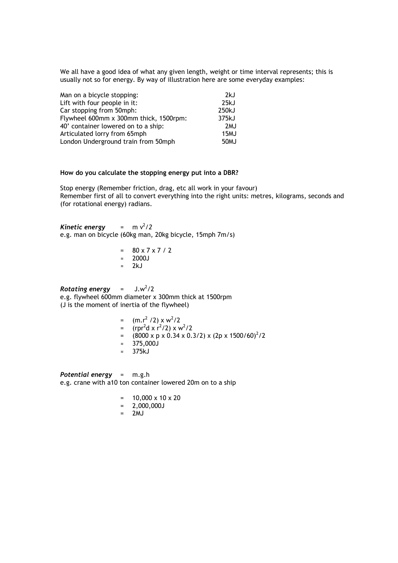We all have a good idea of what any given length, weight or time interval represents; this is usually not so for energy. By way of illustration here are some everyday examples:

| Man on a bicycle stopping:             | 2kJ               |
|----------------------------------------|-------------------|
| Lift with four people in it:           | 25kJ              |
| Car stopping from 50mph:               | 250kJ             |
| Flywheel 600mm x 300mm thick, 1500rpm: | 375kJ             |
| 40' container lowered on to a ship:    | 2 <sub>M</sub> J  |
| Articulated lorry from 65mph           | 15MJ              |
| London Underground train from 50mph    | 50 <sub>M</sub> J |

#### **How do you calculate the stopping energy put into a DBR?**

Stop energy (Remember friction, drag, etc all work in your favour) Remember first of all to convert everything into the right units: metres, kilograms, seconds and (for rotational energy) radians.

*Kinetic energy* =  $\text{m v}^2/2$ e.g. man on bicycle (60kg man, 20kg bicycle, 15mph 7m/s)

| $=$       | $80 \times 7 \times 7 / 2$ |
|-----------|----------------------------|
| $\approx$ | 2000J                      |
| $\approx$ | 2kJ                        |

 $Rotation$   $energy$  =  $J.w^2/2$ e.g. flywheel 600mm diameter x 300mm thick at 1500rpm (J is the moment of inertia of the flywheel)

> =  $(m.r^2 / 2) \times w^2 / 2$ =  $(rpr^2d \times r^2/2) \times w^2/2$ =  $(8000 \times p \times 0.34 \times 0.3/2) \times (2p \times 1500/60)^2/2$ ≈ 375,000J ≈ 375kJ

*Potential energy* = m.g.h e.g. crane with a10 ton container lowered 20m on to a ship

- $= 10,000 \times 10 \times 20$
- = 2,000,000J
- $= 2MJ$